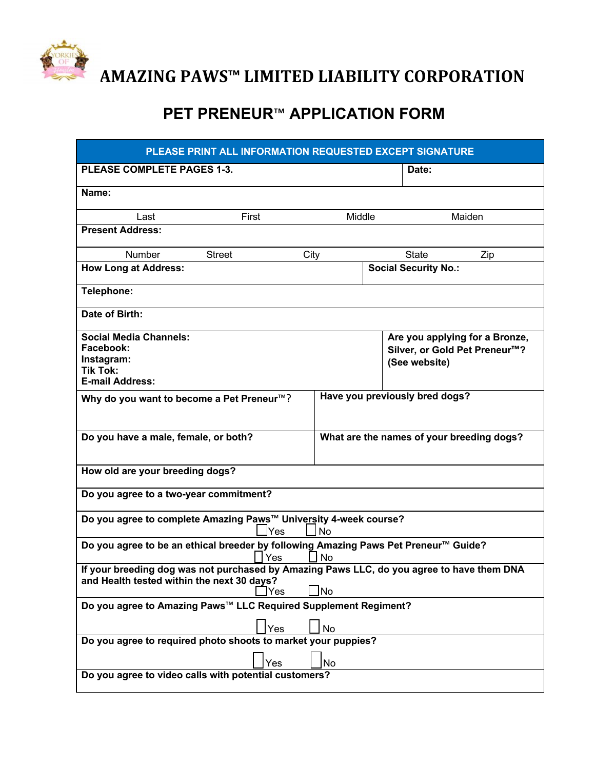

## **PET PRENEUR**™ **APPLICATION FORM**

| PLEASE PRINT ALL INFORMATION REQUESTED EXCEPT SIGNATURE                                                                                               |                                        |                                           |                                                                                              |        |  |  |  |
|-------------------------------------------------------------------------------------------------------------------------------------------------------|----------------------------------------|-------------------------------------------|----------------------------------------------------------------------------------------------|--------|--|--|--|
| PLEASE COMPLETE PAGES 1-3.                                                                                                                            |                                        |                                           | Date:                                                                                        |        |  |  |  |
| Name:                                                                                                                                                 |                                        |                                           |                                                                                              |        |  |  |  |
| Last                                                                                                                                                  | First                                  | Middle                                    |                                                                                              | Maiden |  |  |  |
| <b>Present Address:</b>                                                                                                                               |                                        |                                           |                                                                                              |        |  |  |  |
| Number                                                                                                                                                | <b>Street</b><br>City                  |                                           | <b>State</b>                                                                                 | Zip    |  |  |  |
|                                                                                                                                                       | <b>How Long at Address:</b>            |                                           | <b>Social Security No.:</b>                                                                  |        |  |  |  |
| Telephone:                                                                                                                                            |                                        |                                           |                                                                                              |        |  |  |  |
| Date of Birth:                                                                                                                                        |                                        |                                           |                                                                                              |        |  |  |  |
| <b>Social Media Channels:</b><br>Facebook:<br>Instagram:<br><b>Tik Tok:</b><br><b>E-mail Address:</b>                                                 |                                        |                                           | Are you applying for a Bronze,<br>Silver, or Gold Pet Preneur <sup>™?</sup><br>(See website) |        |  |  |  |
| Have you previously bred dogs?<br>Why do you want to become a Pet Preneur <sup>™</sup> ?                                                              |                                        |                                           |                                                                                              |        |  |  |  |
| Do you have a male, female, or both?                                                                                                                  |                                        | What are the names of your breeding dogs? |                                                                                              |        |  |  |  |
|                                                                                                                                                       | How old are your breeding dogs?        |                                           |                                                                                              |        |  |  |  |
|                                                                                                                                                       | Do you agree to a two-year commitment? |                                           |                                                                                              |        |  |  |  |
| Do you agree to complete Amazing Paws™ University 4-week course?<br><b>No</b><br>Yes                                                                  |                                        |                                           |                                                                                              |        |  |  |  |
| Do you agree to be an ethical breeder by following Amazing Paws Pet Preneur™ Guide?<br>Yes<br><b>No</b>                                               |                                        |                                           |                                                                                              |        |  |  |  |
| If your breeding dog was not purchased by Amazing Paws LLC, do you agree to have them DNA<br>and Health tested within the next 30 days?<br>]No<br>Yes |                                        |                                           |                                                                                              |        |  |  |  |
| Do you agree to Amazing Paws™ LLC Required Supplement Regiment?                                                                                       |                                        |                                           |                                                                                              |        |  |  |  |
| Yes<br><b>No</b>                                                                                                                                      |                                        |                                           |                                                                                              |        |  |  |  |
| Do you agree to required photo shoots to market your puppies?                                                                                         |                                        |                                           |                                                                                              |        |  |  |  |
| Yes<br><b>No</b><br>Do you agree to video calls with potential customers?                                                                             |                                        |                                           |                                                                                              |        |  |  |  |
|                                                                                                                                                       |                                        |                                           |                                                                                              |        |  |  |  |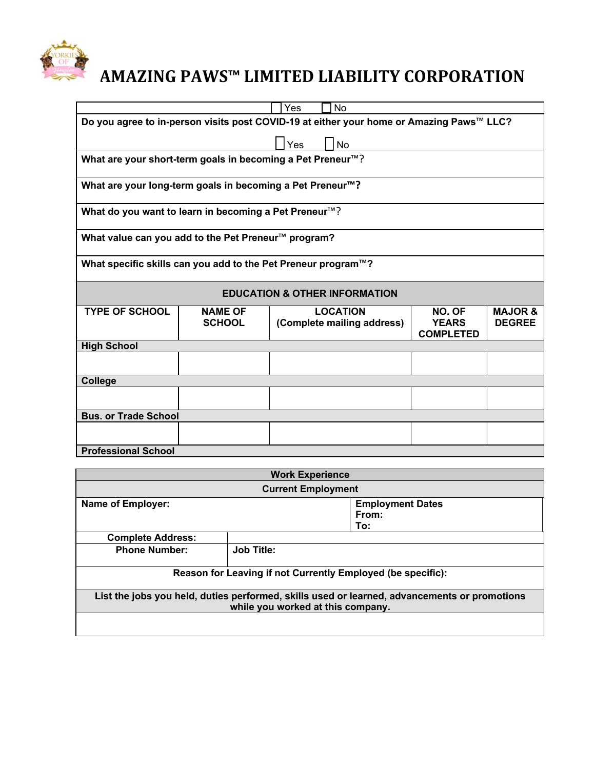

|                                                                                          |                | Yes<br><b>No</b>           |                                  |                    |  |  |
|------------------------------------------------------------------------------------------|----------------|----------------------------|----------------------------------|--------------------|--|--|
| Do you agree to in-person visits post COVID-19 at either your home or Amazing Paws™ LLC? |                |                            |                                  |                    |  |  |
|                                                                                          |                | Yes<br><b>No</b>           |                                  |                    |  |  |
|                                                                                          |                |                            |                                  |                    |  |  |
| What are your short-term goals in becoming a Pet Preneur™?                               |                |                            |                                  |                    |  |  |
| What are your long-term goals in becoming a Pet Preneur <sup>™</sup> ?                   |                |                            |                                  |                    |  |  |
| What do you want to learn in becoming a Pet Preneur <sup>™</sup> ?                       |                |                            |                                  |                    |  |  |
| What value can you add to the Pet Preneur <sup>™</sup> program?                          |                |                            |                                  |                    |  |  |
| What specific skills can you add to the Pet Preneur program™?                            |                |                            |                                  |                    |  |  |
| <b>EDUCATION &amp; OTHER INFORMATION</b>                                                 |                |                            |                                  |                    |  |  |
| <b>TYPE OF SCHOOL</b>                                                                    | <b>NAME OF</b> | <b>LOCATION</b>            | NO. OF                           | <b>MAJOR &amp;</b> |  |  |
|                                                                                          | <b>SCHOOL</b>  | (Complete mailing address) | <b>YEARS</b><br><b>COMPLETED</b> | <b>DEGREE</b>      |  |  |
| <b>High School</b>                                                                       |                |                            |                                  |                    |  |  |
|                                                                                          |                |                            |                                  |                    |  |  |
| College                                                                                  |                |                            |                                  |                    |  |  |
|                                                                                          |                |                            |                                  |                    |  |  |
| <b>Bus. or Trade School</b>                                                              |                |                            |                                  |                    |  |  |
|                                                                                          |                |                            |                                  |                    |  |  |
|                                                                                          |                |                            |                                  |                    |  |  |

| <b>Work Experience</b>                                                                                                            |                         |     |  |  |  |  |
|-----------------------------------------------------------------------------------------------------------------------------------|-------------------------|-----|--|--|--|--|
| <b>Current Employment</b>                                                                                                         |                         |     |  |  |  |  |
| <b>Name of Employer:</b>                                                                                                          | <b>Employment Dates</b> |     |  |  |  |  |
|                                                                                                                                   | From:                   |     |  |  |  |  |
|                                                                                                                                   |                         | To: |  |  |  |  |
| <b>Complete Address:</b>                                                                                                          |                         |     |  |  |  |  |
| <b>Phone Number:</b>                                                                                                              | <b>Job Title:</b>       |     |  |  |  |  |
| Reason for Leaving if not Currently Employed (be specific):                                                                       |                         |     |  |  |  |  |
| List the jobs you held, duties performed, skills used or learned, advancements or promotions<br>while you worked at this company. |                         |     |  |  |  |  |
|                                                                                                                                   |                         |     |  |  |  |  |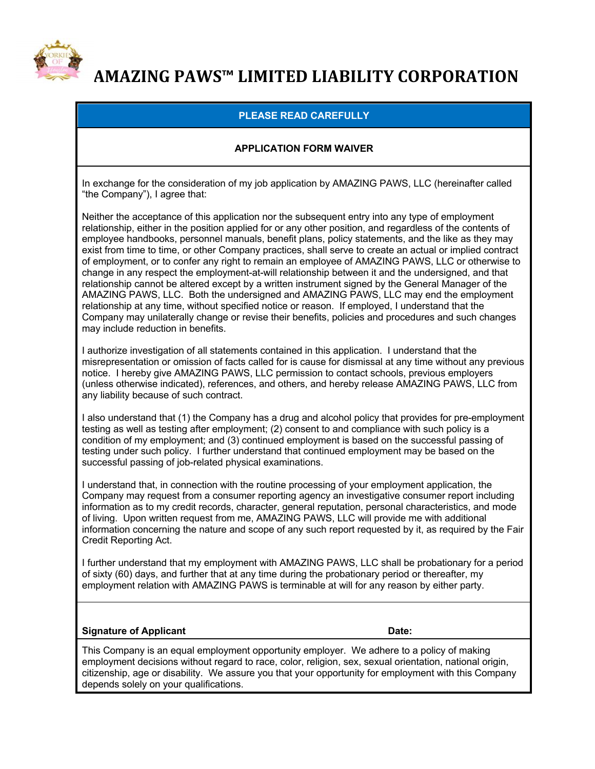

### **PLEASE READ CAREFULLY**

### **APPLICATION FORM WAIVER**

In exchange for the consideration of my job application by AMAZING PAWS, LLC (hereinafter called "the Company"), I agree that:

Neither the acceptance of this application nor the subsequent entry into any type of employment relationship, either in the position applied for or any other position, and regardless of the contents of employee handbooks, personnel manuals, benefit plans, policy statements, and the like as they may exist from time to time, or other Company practices, shall serve to create an actual or implied contract of employment, or to confer any right to remain an employee of AMAZING PAWS, LLC or otherwise to change in any respect the employment-at-will relationship between it and the undersigned, and that relationship cannot be altered except by a written instrument signed by the General Manager of the AMAZING PAWS, LLC. Both the undersigned and AMAZING PAWS, LLC may end the employment relationship at any time, without specified notice or reason. If employed, I understand that the Company may unilaterally change or revise their benefits, policies and procedures and such changes may include reduction in benefits.

I authorize investigation of all statements contained in this application. I understand that the misrepresentation or omission of facts called for is cause for dismissal at any time without any previous notice. I hereby give AMAZING PAWS, LLC permission to contact schools, previous employers (unless otherwise indicated), references, and others, and hereby release AMAZING PAWS, LLC from any liability because of such contract.

I also understand that (1) the Company has a drug and alcohol policy that provides for pre-employment testing as well as testing after employment; (2) consent to and compliance with such policy is a condition of my employment; and (3) continued employment is based on the successful passing of testing under such policy. I further understand that continued employment may be based on the successful passing of job-related physical examinations.

I understand that, in connection with the routine processing of your employment application, the Company may request from a consumer reporting agency an investigative consumer report including information as to my credit records, character, general reputation, personal characteristics, and mode of living. Upon written request from me, AMAZING PAWS, LLC will provide me with additional information concerning the nature and scope of any such report requested by it, as required by the Fair Credit Reporting Act.

I further understand that my employment with AMAZING PAWS, LLC shall be probationary for a period of sixty (60) days, and further that at any time during the probationary period or thereafter, my employment relation with AMAZING PAWS is terminable at will for any reason by either party.

#### **Signature of Applicant Community Community Community Community Community Community Community Community Community Community Community Community Community Community Community Community Community Community Community Communit**

This Company is an equal employment opportunity employer. We adhere to a policy of making employment decisions without regard to race, color, religion, sex, sexual orientation, national origin, citizenship, age or disability. We assure you that your opportunity for employment with this Company depends solely on your qualifications.